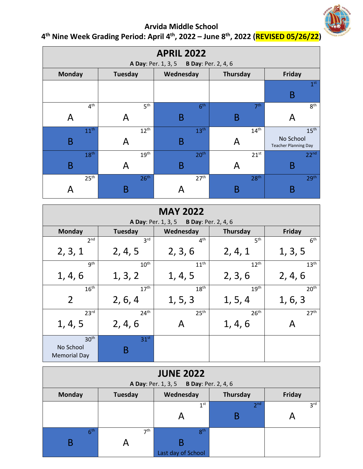

## **Arvida Middle School**

| <b>APRIL 2022</b><br><b>A Day: Per. 1, 3, 5</b><br><b>B Day: Per. 2, 4, 6</b> |                  |                  |                  |                                          |  |  |  |
|-------------------------------------------------------------------------------|------------------|------------------|------------------|------------------------------------------|--|--|--|
| <b>Monday</b>                                                                 | <b>Tuesday</b>   | Wednesday        | Thursday         | Friday                                   |  |  |  |
|                                                                               |                  |                  |                  | 1 <sup>st</sup><br>B                     |  |  |  |
| 4 <sup>th</sup>                                                               | 5 <sup>th</sup>  | 6 <sup>th</sup>  | 7 <sup>th</sup>  | 8 <sup>th</sup>                          |  |  |  |
| A                                                                             | Α                | B                | B                | A                                        |  |  |  |
| 11 <sup>th</sup>                                                              | $12^{th}$        | 13 <sup>th</sup> | 14 <sup>th</sup> | 15 <sup>th</sup>                         |  |  |  |
| B                                                                             | A                | B                | A                | No School<br><b>Teacher Planning Day</b> |  |  |  |
| 18 <sup>th</sup>                                                              | 19 <sup>th</sup> | 20 <sup>th</sup> | $21^{st}$        | 22 <sup>nd</sup>                         |  |  |  |
| B                                                                             | A                | B                | A                | B                                        |  |  |  |
| 25 <sup>th</sup>                                                              | 26 <sup>th</sup> | 27 <sup>th</sup> | 28 <sup>th</sup> | 29 <sup>th</sup>                         |  |  |  |
| A                                                                             | Β                |                  | B                | B                                        |  |  |  |

| 4 <sup>th</sup> Nine Week Grading Period: April 4 <sup>th</sup> , 2022 - June 8 <sup>th</sup> , 2022 (REVISED 05/26/22) |  |
|-------------------------------------------------------------------------------------------------------------------------|--|
|                                                                                                                         |  |

| <b>MAY 2022</b><br><b>A Day: Per. 1, 3, 5</b><br><b>B Day: Per. 2, 4, 6</b> |                       |                  |                  |                  |  |  |  |
|-----------------------------------------------------------------------------|-----------------------|------------------|------------------|------------------|--|--|--|
| <b>Monday</b>                                                               | Tuesday               | Wednesday        | <b>Thursday</b>  | Friday           |  |  |  |
| 2 <sup>nd</sup>                                                             | 3 <sup>rd</sup>       | 4 <sup>th</sup>  | 5 <sup>th</sup>  | 6 <sup>th</sup>  |  |  |  |
| 2, 3, 1                                                                     | 2, 4, 5               | 2, 3, 6          | 2, 4, 1          | 1, 3, 5          |  |  |  |
| gth                                                                         | 10 <sup>th</sup>      | 11 <sup>th</sup> | 12 <sup>th</sup> | 13 <sup>th</sup> |  |  |  |
| 1, 4, 6                                                                     | 1, 3, 2               | 1, 4, 5          | 2, 3, 6          | 2, 4, 6          |  |  |  |
| 16 <sup>th</sup>                                                            | 17 <sup>th</sup>      | 18 <sup>th</sup> | 19 <sup>th</sup> | 20 <sup>th</sup> |  |  |  |
| $\overline{2}$                                                              | 2, 6, 4               | 1, 5, 3          | 1, 5, 4          | 1, 6, 3          |  |  |  |
| 23 <sup>rd</sup>                                                            | 24 <sup>th</sup>      | 25 <sup>th</sup> | 26 <sup>th</sup> | 27 <sup>th</sup> |  |  |  |
| 1, 4, 5                                                                     | 2, 4, 6               |                  | 1, 4, 6          | А                |  |  |  |
| 30 <sup>th</sup><br>No School<br><b>Memorial Day</b>                        | 31 <sup>st</sup><br>B |                  |                  |                  |  |  |  |

| <b>JUNE 2022</b>                        |                 |                    |                 |                 |  |  |  |
|-----------------------------------------|-----------------|--------------------|-----------------|-----------------|--|--|--|
| A Day: Per. 1, 3, 5 B Day: Per. 2, 4, 6 |                 |                    |                 |                 |  |  |  |
| <b>Monday</b>                           | <b>Tuesday</b>  | Wednesday          | Thursday        | Friday          |  |  |  |
|                                         |                 | 1 <sup>st</sup>    | 2 <sub>nd</sub> | 3 <sup>rd</sup> |  |  |  |
|                                         |                 |                    | B               |                 |  |  |  |
|                                         |                 |                    |                 |                 |  |  |  |
| 6 <sup>th</sup>                         | 7 <sup>th</sup> | 8 <sup>th</sup>    |                 |                 |  |  |  |
|                                         |                 |                    |                 |                 |  |  |  |
|                                         |                 | Last day of School |                 |                 |  |  |  |